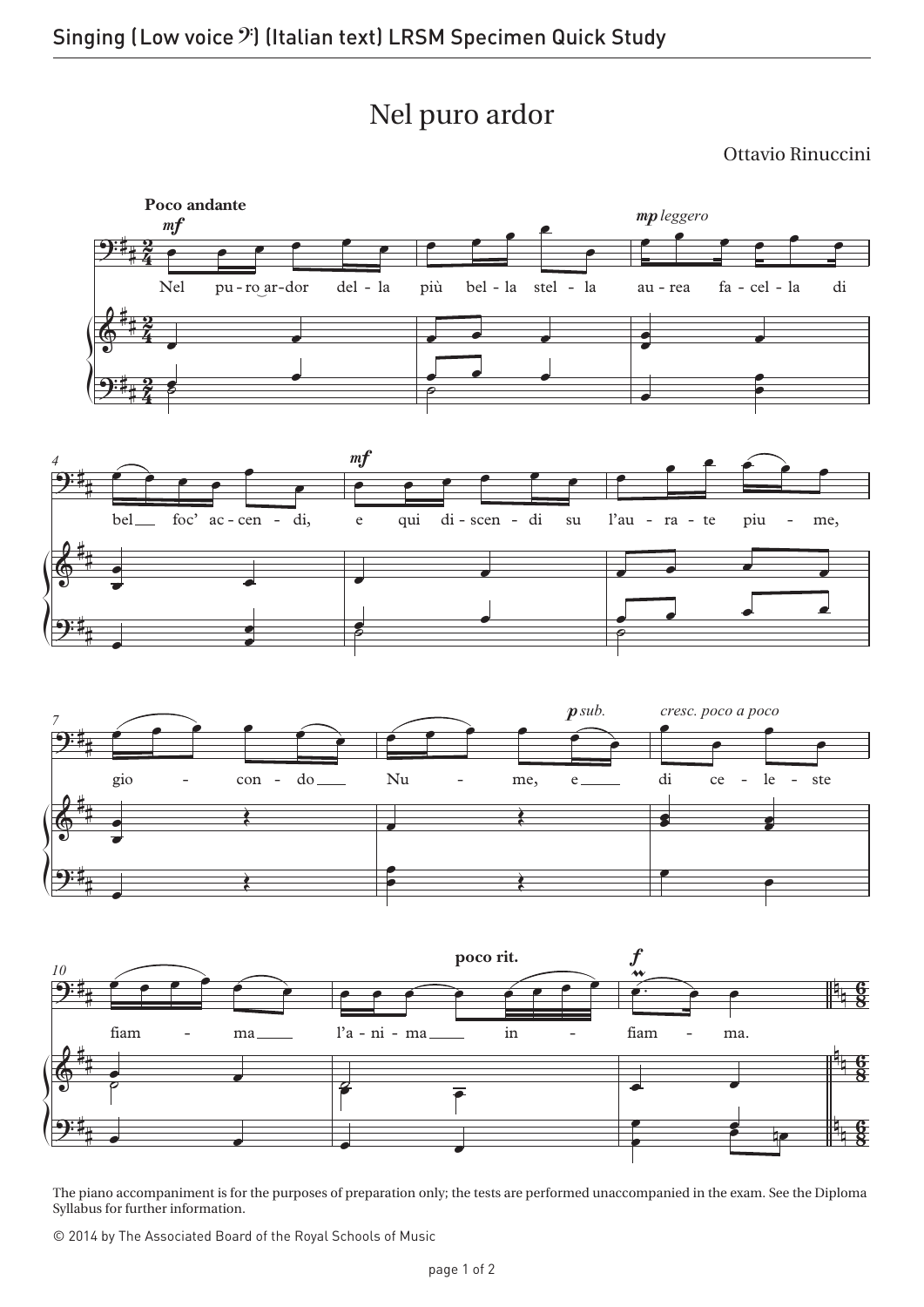## Nel puro ardor

Ottavio Rinuccini



The piano accompaniment is for the purposes of preparation only; the tests are performed unaccompanied in the exam. See the Diploma Syllabus for further information.

© 2014 by The Associated Board of the Royal Schools of Music